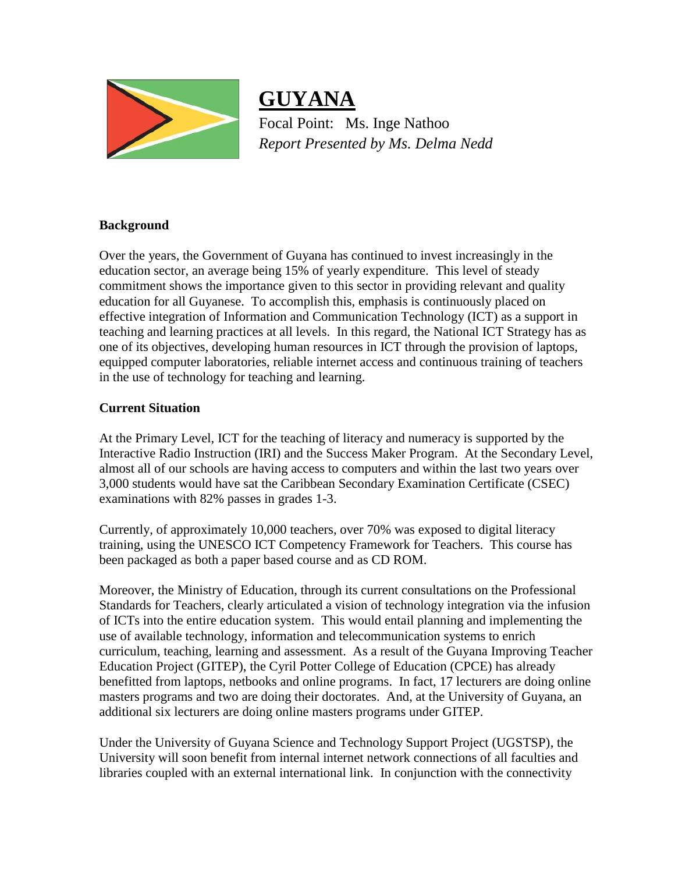

**GUYANA** Focal Point: Ms. Inge Nathoo *Report Presented by Ms. Delma Nedd*

## **Background**

Over the years, the Government of Guyana has continued to invest increasingly in the education sector, an average being 15% of yearly expenditure. This level of steady commitment shows the importance given to this sector in providing relevant and quality education for all Guyanese. To accomplish this, emphasis is continuously placed on effective integration of Information and Communication Technology (ICT) as a support in teaching and learning practices at all levels. In this regard, the National ICT Strategy has as one of its objectives, developing human resources in ICT through the provision of laptops, equipped computer laboratories, reliable internet access and continuous training of teachers in the use of technology for teaching and learning.

# **Current Situation**

At the Primary Level, ICT for the teaching of literacy and numeracy is supported by the Interactive Radio Instruction (IRI) and the Success Maker Program. At the Secondary Level, almost all of our schools are having access to computers and within the last two years over 3,000 students would have sat the Caribbean Secondary Examination Certificate (CSEC) examinations with 82% passes in grades 1-3.

Currently, of approximately 10,000 teachers, over 70% was exposed to digital literacy training, using the UNESCO ICT Competency Framework for Teachers. This course has been packaged as both a paper based course and as CD ROM.

Moreover, the Ministry of Education, through its current consultations on the Professional Standards for Teachers, clearly articulated a vision of technology integration via the infusion of ICTs into the entire education system. This would entail planning and implementing the use of available technology, information and telecommunication systems to enrich curriculum, teaching, learning and assessment. As a result of the Guyana Improving Teacher Education Project (GITEP), the Cyril Potter College of Education (CPCE) has already benefitted from laptops, netbooks and online programs. In fact, 17 lecturers are doing online masters programs and two are doing their doctorates. And, at the University of Guyana, an additional six lecturers are doing online masters programs under GITEP.

Under the University of Guyana Science and Technology Support Project (UGSTSP), the University will soon benefit from internal internet network connections of all faculties and libraries coupled with an external international link. In conjunction with the connectivity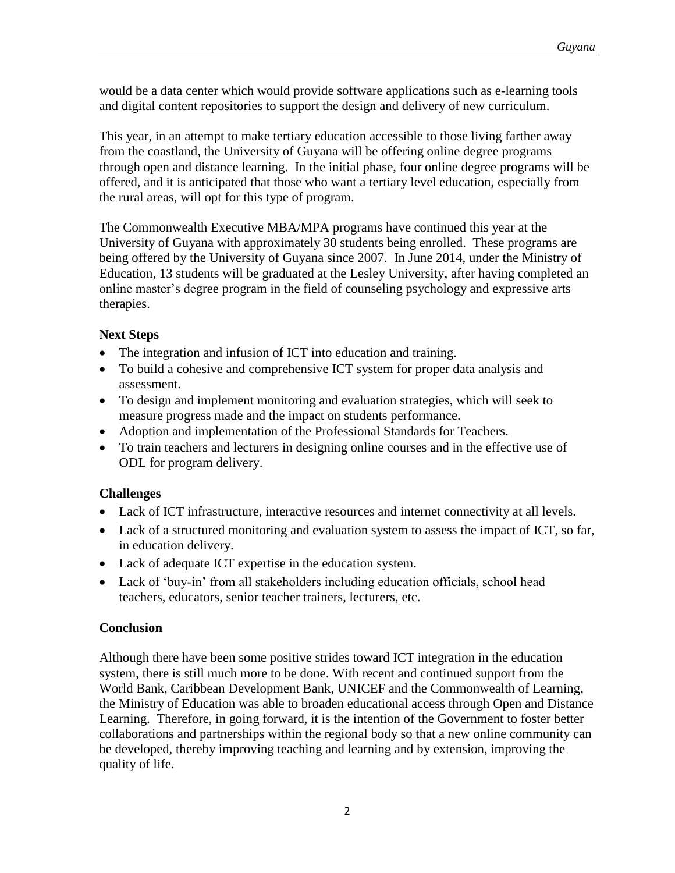would be a data center which would provide software applications such as e-learning tools and digital content repositories to support the design and delivery of new curriculum.

This year, in an attempt to make tertiary education accessible to those living farther away from the coastland, the University of Guyana will be offering online degree programs through open and distance learning. In the initial phase, four online degree programs will be offered, and it is anticipated that those who want a tertiary level education, especially from the rural areas, will opt for this type of program.

The Commonwealth Executive MBA/MPA programs have continued this year at the University of Guyana with approximately 30 students being enrolled. These programs are being offered by the University of Guyana since 2007. In June 2014, under the Ministry of Education, 13 students will be graduated at the Lesley University, after having completed an online master's degree program in the field of counseling psychology and expressive arts therapies.

## **Next Steps**

- The integration and infusion of ICT into education and training.
- To build a cohesive and comprehensive ICT system for proper data analysis and assessment.
- To design and implement monitoring and evaluation strategies, which will seek to measure progress made and the impact on students performance.
- Adoption and implementation of the Professional Standards for Teachers.
- To train teachers and lecturers in designing online courses and in the effective use of ODL for program delivery.

## **Challenges**

- Lack of ICT infrastructure, interactive resources and internet connectivity at all levels.
- Lack of a structured monitoring and evaluation system to assess the impact of ICT, so far, in education delivery.
- Lack of adequate ICT expertise in the education system.
- Lack of 'buy-in' from all stakeholders including education officials, school head teachers, educators, senior teacher trainers, lecturers, etc.

## **Conclusion**

Although there have been some positive strides toward ICT integration in the education system, there is still much more to be done. With recent and continued support from the World Bank, Caribbean Development Bank, UNICEF and the Commonwealth of Learning, the Ministry of Education was able to broaden educational access through Open and Distance Learning. Therefore, in going forward, it is the intention of the Government to foster better collaborations and partnerships within the regional body so that a new online community can be developed, thereby improving teaching and learning and by extension, improving the quality of life.